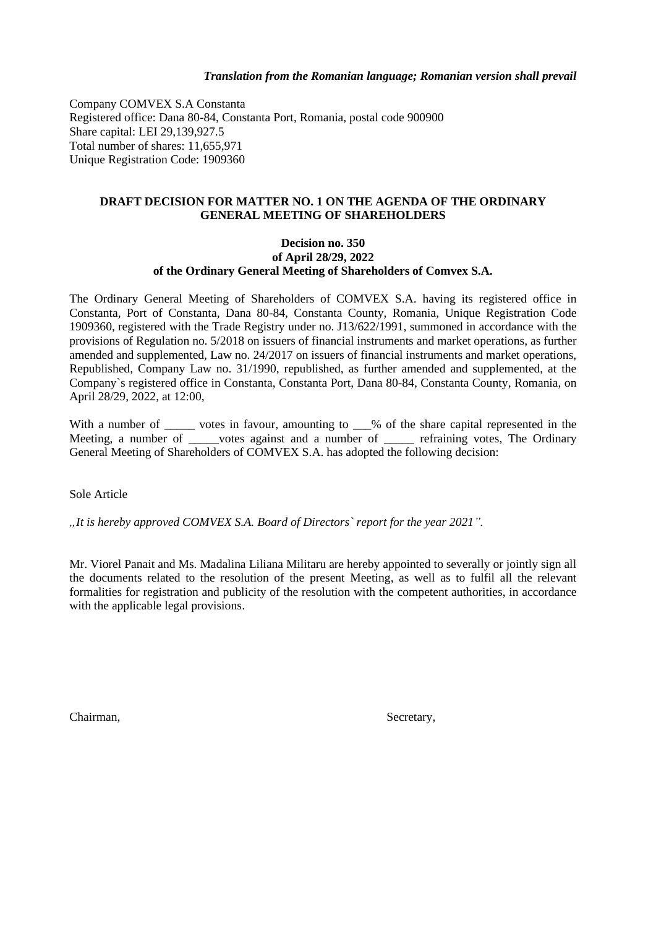Company COMVEX S.A Constanta Registered office: Dana 80-84, Constanta Port, Romania, postal code 900900 Share capital: LEI 29,139,927.5 Total number of shares: 11,655,971 Unique Registration Code: 1909360

# **DRAFT DECISION FOR MATTER NO. 1 ON THE AGENDA OF THE ORDINARY GENERAL MEETING OF SHAREHOLDERS**

## **Decision no. 350 of April 28/29, 2022 of the Ordinary General Meeting of Shareholders of Comvex S.A.**

The Ordinary General Meeting of Shareholders of COMVEX S.A. having its registered office in Constanta, Port of Constanta, Dana 80-84, Constanta County, Romania, Unique Registration Code 1909360, registered with the Trade Registry under no. J13/622/1991, summoned in accordance with the provisions of Regulation no. 5/2018 on issuers of financial instruments and market operations, as further amended and supplemented, Law no. 24/2017 on issuers of financial instruments and market operations, Republished, Company Law no. 31/1990, republished, as further amended and supplemented, at the Company`s registered office in Constanta, Constanta Port, Dana 80-84, Constanta County, Romania, on April 28/29, 2022, at 12:00,

With a number of \_\_\_\_\_ votes in favour, amounting to \_\_\_% of the share capital represented in the Meeting, a number of words against and a number of we refraining votes, The Ordinary General Meeting of Shareholders of COMVEX S.A. has adopted the following decision:

Sole Article

*"It is hereby approved COMVEX S.A. Board of Directors` report for the year 2021".* 

Mr. Viorel Panait and Ms. Madalina Liliana Militaru are hereby appointed to severally or jointly sign all the documents related to the resolution of the present Meeting, as well as to fulfil all the relevant formalities for registration and publicity of the resolution with the competent authorities, in accordance with the applicable legal provisions.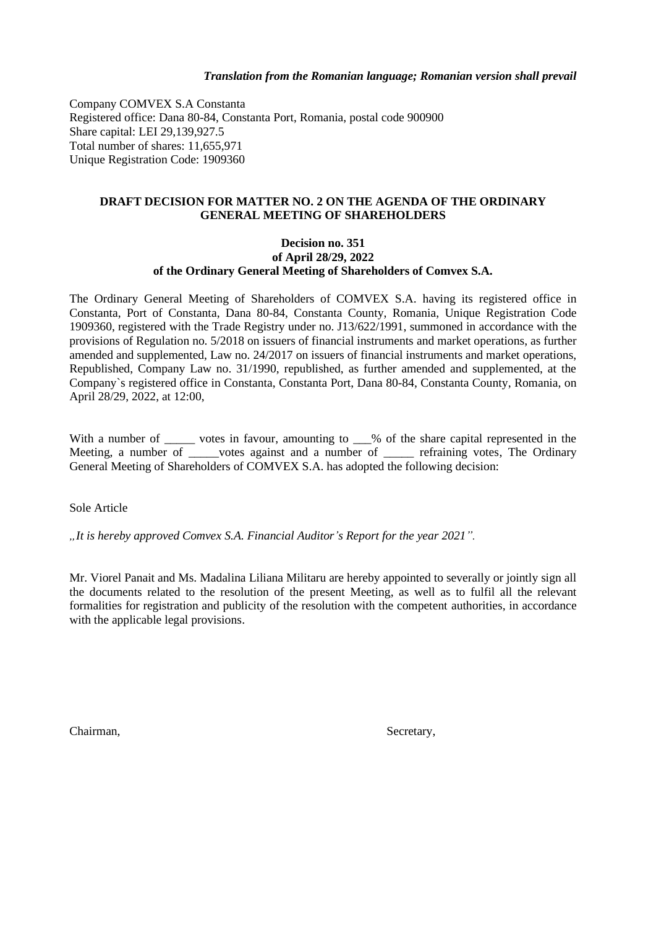Company COMVEX S.A Constanta Registered office: Dana 80-84, Constanta Port, Romania, postal code 900900 Share capital: LEI 29,139,927.5 Total number of shares: 11,655,971 Unique Registration Code: 1909360

# **DRAFT DECISION FOR MATTER NO. 2 ON THE AGENDA OF THE ORDINARY GENERAL MEETING OF SHAREHOLDERS**

## **Decision no. 351 of April 28/29, 2022 of the Ordinary General Meeting of Shareholders of Comvex S.A.**

The Ordinary General Meeting of Shareholders of COMVEX S.A. having its registered office in Constanta, Port of Constanta, Dana 80-84, Constanta County, Romania, Unique Registration Code 1909360, registered with the Trade Registry under no. J13/622/1991, summoned in accordance with the provisions of Regulation no. 5/2018 on issuers of financial instruments and market operations, as further amended and supplemented, Law no. 24/2017 on issuers of financial instruments and market operations, Republished, Company Law no. 31/1990, republished, as further amended and supplemented, at the Company`s registered office in Constanta, Constanta Port, Dana 80-84, Constanta County, Romania, on April 28/29, 2022, at 12:00,

With a number of \_\_\_\_\_ votes in favour, amounting to \_\_\_% of the share capital represented in the Meeting, a number of \_\_\_\_votes against and a number of \_\_\_\_\_ refraining votes, The Ordinary General Meeting of Shareholders of COMVEX S.A. has adopted the following decision:

Sole Article

*"It is hereby approved Comvex S.A. Financial Auditor's Report for the year 2021".* 

Mr. Viorel Panait and Ms. Madalina Liliana Militaru are hereby appointed to severally or jointly sign all the documents related to the resolution of the present Meeting, as well as to fulfil all the relevant formalities for registration and publicity of the resolution with the competent authorities, in accordance with the applicable legal provisions.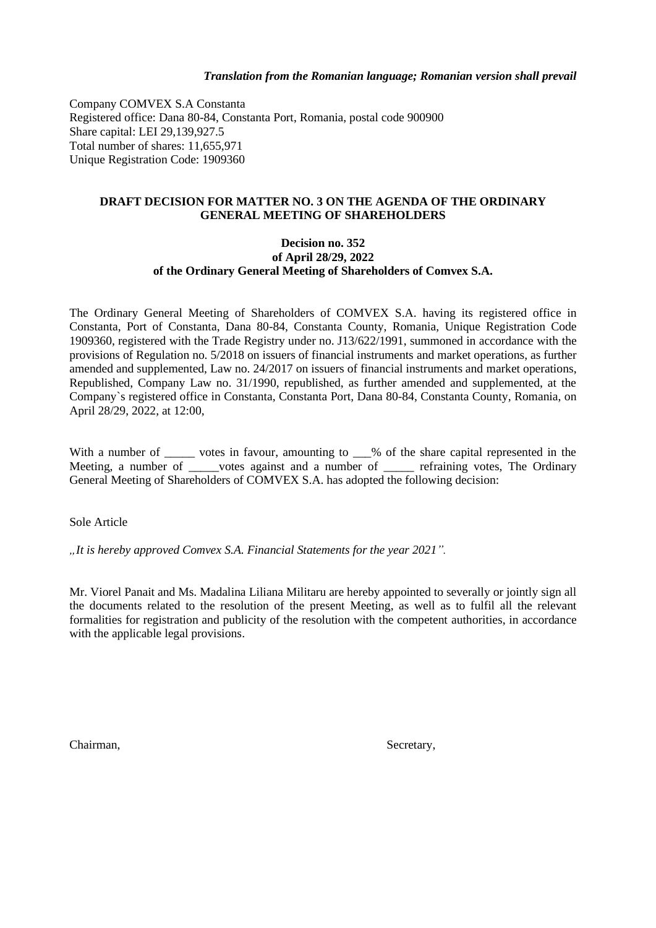Company COMVEX S.A Constanta Registered office: Dana 80-84, Constanta Port, Romania, postal code 900900 Share capital: LEI 29,139,927.5 Total number of shares: 11,655,971 Unique Registration Code: 1909360

# **DRAFT DECISION FOR MATTER NO. 3 ON THE AGENDA OF THE ORDINARY GENERAL MEETING OF SHAREHOLDERS**

## **Decision no. 352 of April 28/29, 2022 of the Ordinary General Meeting of Shareholders of Comvex S.A.**

The Ordinary General Meeting of Shareholders of COMVEX S.A. having its registered office in Constanta, Port of Constanta, Dana 80-84, Constanta County, Romania, Unique Registration Code 1909360, registered with the Trade Registry under no. J13/622/1991, summoned in accordance with the provisions of Regulation no. 5/2018 on issuers of financial instruments and market operations, as further amended and supplemented, Law no. 24/2017 on issuers of financial instruments and market operations, Republished, Company Law no. 31/1990, republished, as further amended and supplemented, at the Company`s registered office in Constanta, Constanta Port, Dana 80-84, Constanta County, Romania, on April 28/29, 2022, at 12:00,

With a number of \_\_\_\_\_\_ votes in favour, amounting to \_\_\_% of the share capital represented in the Meeting, a number of votes against and a number of refraining votes, The Ordinary General Meeting of Shareholders of COMVEX S.A. has adopted the following decision:

Sole Article

*"It is hereby approved Comvex S.A. Financial Statements for the year 2021".* 

Mr. Viorel Panait and Ms. Madalina Liliana Militaru are hereby appointed to severally or jointly sign all the documents related to the resolution of the present Meeting, as well as to fulfil all the relevant formalities for registration and publicity of the resolution with the competent authorities, in accordance with the applicable legal provisions.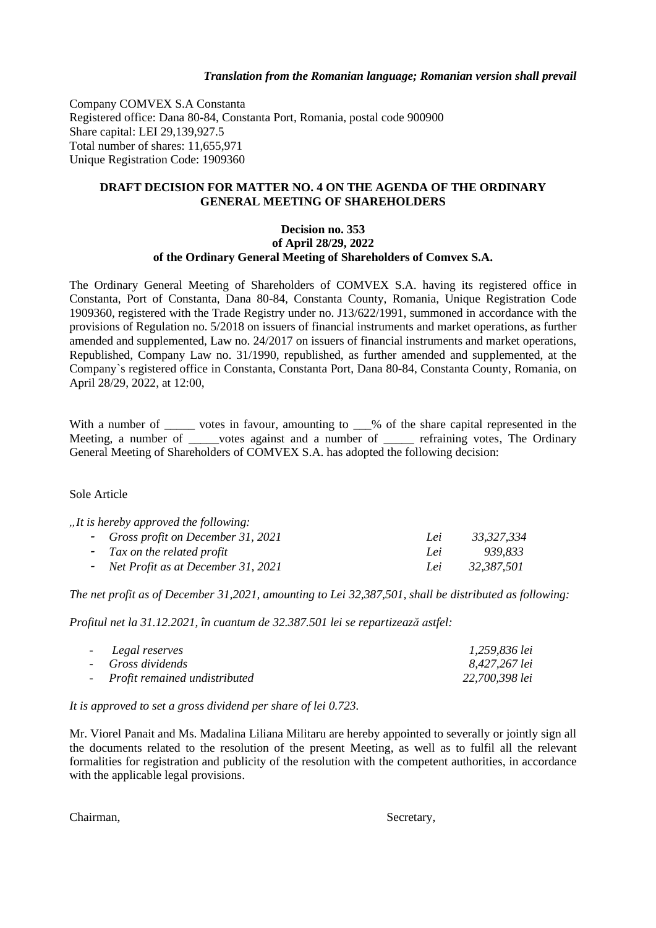Company COMVEX S.A Constanta Registered office: Dana 80-84, Constanta Port, Romania, postal code 900900 Share capital: LEI 29,139,927.5 Total number of shares: 11,655,971 Unique Registration Code: 1909360

## **DRAFT DECISION FOR MATTER NO. 4 ON THE AGENDA OF THE ORDINARY GENERAL MEETING OF SHAREHOLDERS**

#### **Decision no. 353 of April 28/29, 2022 of the Ordinary General Meeting of Shareholders of Comvex S.A.**

The Ordinary General Meeting of Shareholders of COMVEX S.A. having its registered office in Constanta, Port of Constanta, Dana 80-84, Constanta County, Romania, Unique Registration Code 1909360, registered with the Trade Registry under no. J13/622/1991, summoned in accordance with the provisions of Regulation no. 5/2018 on issuers of financial instruments and market operations, as further amended and supplemented, Law no. 24/2017 on issuers of financial instruments and market operations, Republished, Company Law no. 31/1990, republished, as further amended and supplemented, at the Company`s registered office in Constanta, Constanta Port, Dana 80-84, Constanta County, Romania, on April 28/29, 2022, at 12:00,

With a number of \_\_\_\_\_ votes in favour, amounting to \_\_% of the share capital represented in the Meeting, a number of \_\_\_\_\_votes against and a number of \_\_\_\_\_ refraining votes, The Ordinary General Meeting of Shareholders of COMVEX S.A. has adopted the following decision:

## Sole Article

| , It is hereby approved the following: |     |            |
|----------------------------------------|-----|------------|
| - Gross profit on December 31, 2021    | Lei | 33,327,334 |
| - Tax on the related profit            | Lei | 939.833    |
| - Net Profit as at December 31, 2021   | Lei | 32.387.501 |

*The net profit as of December 31,2021, amounting to Lei 32,387,501, shall be distributed as following:*

*Profitul net la 31.12.2021, în cuantum de 32.387.501 lei se repartizează astfel:*

| - Legal reserves                | 1,259,836 lei  |
|---------------------------------|----------------|
| - Gross dividends               | 8,427,267 lei  |
| - Profit remained undistributed | 22,700,398 lei |

*It is approved to set a gross dividend per share of lei 0.723.*

Mr. Viorel Panait and Ms. Madalina Liliana Militaru are hereby appointed to severally or jointly sign all the documents related to the resolution of the present Meeting, as well as to fulfil all the relevant formalities for registration and publicity of the resolution with the competent authorities, in accordance with the applicable legal provisions.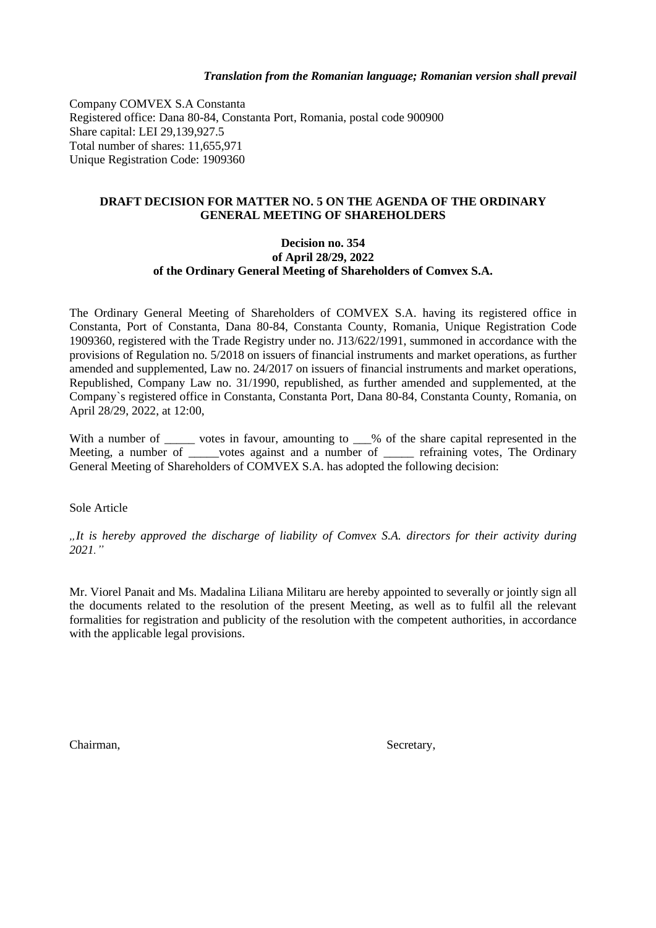Company COMVEX S.A Constanta Registered office: Dana 80-84, Constanta Port, Romania, postal code 900900 Share capital: LEI 29,139,927.5 Total number of shares: 11,655,971 Unique Registration Code: 1909360

# **DRAFT DECISION FOR MATTER NO. 5 ON THE AGENDA OF THE ORDINARY GENERAL MEETING OF SHAREHOLDERS**

## **Decision no. 354 of April 28/29, 2022 of the Ordinary General Meeting of Shareholders of Comvex S.A.**

The Ordinary General Meeting of Shareholders of COMVEX S.A. having its registered office in Constanta, Port of Constanta, Dana 80-84, Constanta County, Romania, Unique Registration Code 1909360, registered with the Trade Registry under no. J13/622/1991, summoned in accordance with the provisions of Regulation no. 5/2018 on issuers of financial instruments and market operations, as further amended and supplemented, Law no. 24/2017 on issuers of financial instruments and market operations, Republished, Company Law no. 31/1990, republished, as further amended and supplemented, at the Company`s registered office in Constanta, Constanta Port, Dana 80-84, Constanta County, Romania, on April 28/29, 2022, at 12:00,

With a number of \_\_\_\_\_ votes in favour, amounting to \_\_\_% of the share capital represented in the Meeting, a number of words against and a number of we refraining votes, The Ordinary General Meeting of Shareholders of COMVEX S.A. has adopted the following decision:

Sole Article

*"It is hereby approved the discharge of liability of Comvex S.A. directors for their activity during 2021."*

Mr. Viorel Panait and Ms. Madalina Liliana Militaru are hereby appointed to severally or jointly sign all the documents related to the resolution of the present Meeting, as well as to fulfil all the relevant formalities for registration and publicity of the resolution with the competent authorities, in accordance with the applicable legal provisions.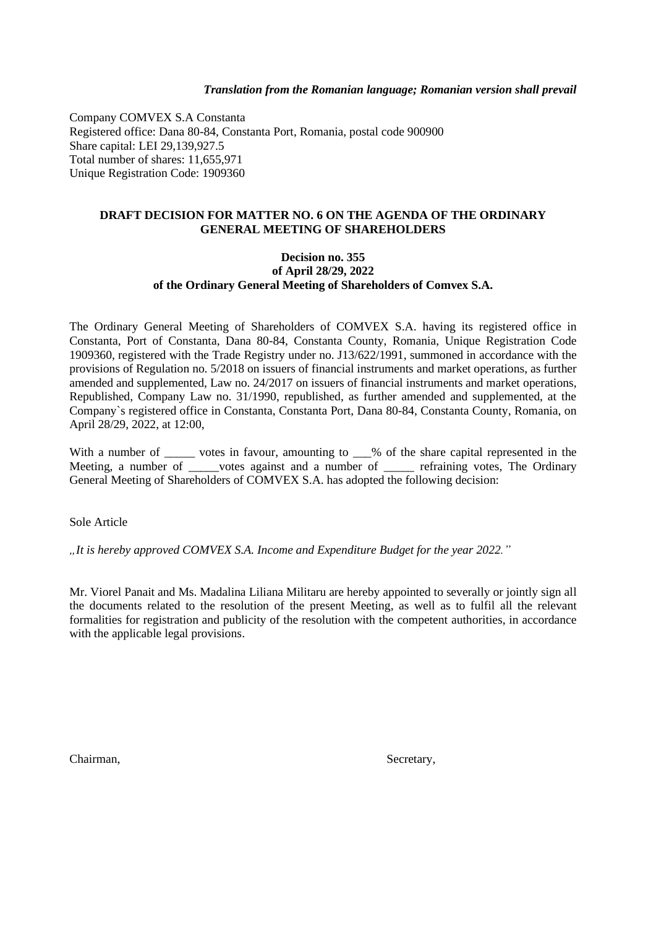Company COMVEX S.A Constanta Registered office: Dana 80-84, Constanta Port, Romania, postal code 900900 Share capital: LEI 29,139,927.5 Total number of shares: 11,655,971 Unique Registration Code: 1909360

## **DRAFT DECISION FOR MATTER NO. 6 ON THE AGENDA OF THE ORDINARY GENERAL MEETING OF SHAREHOLDERS**

### **Decision no. 355 of April 28/29, 2022 of the Ordinary General Meeting of Shareholders of Comvex S.A.**

The Ordinary General Meeting of Shareholders of COMVEX S.A. having its registered office in Constanta, Port of Constanta, Dana 80-84, Constanta County, Romania, Unique Registration Code 1909360, registered with the Trade Registry under no. J13/622/1991, summoned in accordance with the provisions of Regulation no. 5/2018 on issuers of financial instruments and market operations, as further amended and supplemented, Law no. 24/2017 on issuers of financial instruments and market operations, Republished, Company Law no. 31/1990, republished, as further amended and supplemented, at the Company`s registered office in Constanta, Constanta Port, Dana 80-84, Constanta County, Romania, on April 28/29, 2022, at 12:00,

With a number of \_\_\_\_\_\_ votes in favour, amounting to \_\_\_% of the share capital represented in the Meeting, a number of votes against and a number of refraining votes, The Ordinary General Meeting of Shareholders of COMVEX S.A. has adopted the following decision:

Sole Article

*"It is hereby approved COMVEX S.A. Income and Expenditure Budget for the year 2022."*

Mr. Viorel Panait and Ms. Madalina Liliana Militaru are hereby appointed to severally or jointly sign all the documents related to the resolution of the present Meeting, as well as to fulfil all the relevant formalities for registration and publicity of the resolution with the competent authorities, in accordance with the applicable legal provisions.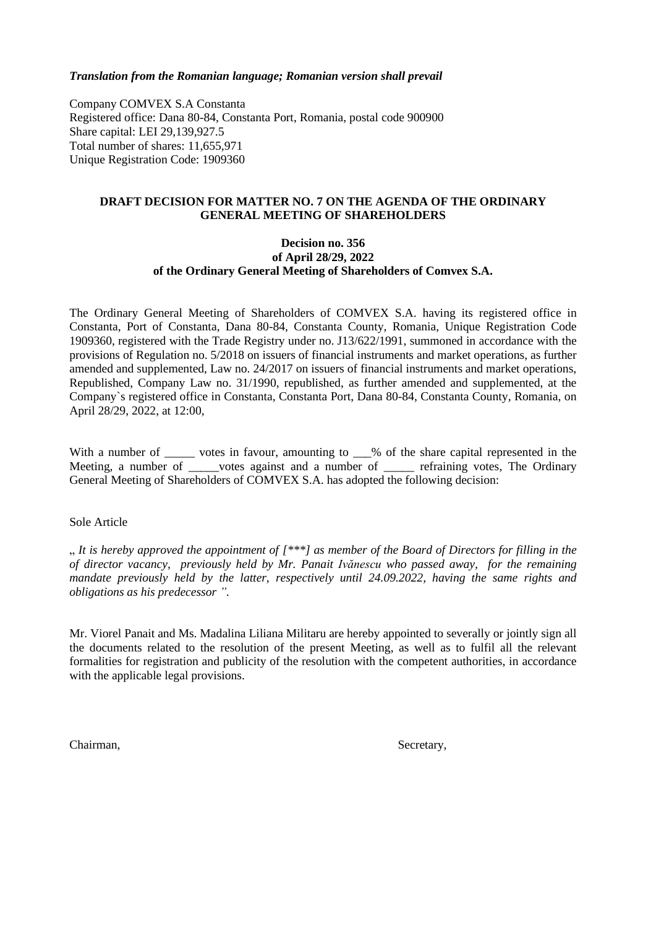Company COMVEX S.A Constanta Registered office: Dana 80-84, Constanta Port, Romania, postal code 900900 Share capital: LEI 29,139,927.5 Total number of shares: 11,655,971 Unique Registration Code: 1909360

# **DRAFT DECISION FOR MATTER NO. 7 ON THE AGENDA OF THE ORDINARY GENERAL MEETING OF SHAREHOLDERS**

## **Decision no. 356 of April 28/29, 2022 of the Ordinary General Meeting of Shareholders of Comvex S.A.**

The Ordinary General Meeting of Shareholders of COMVEX S.A. having its registered office in Constanta, Port of Constanta, Dana 80-84, Constanta County, Romania, Unique Registration Code 1909360, registered with the Trade Registry under no. J13/622/1991, summoned in accordance with the provisions of Regulation no. 5/2018 on issuers of financial instruments and market operations, as further amended and supplemented, Law no. 24/2017 on issuers of financial instruments and market operations, Republished, Company Law no. 31/1990, republished, as further amended and supplemented, at the Company`s registered office in Constanta, Constanta Port, Dana 80-84, Constanta County, Romania, on April 28/29, 2022, at 12:00,

With a number of \_\_\_\_\_\_ votes in favour, amounting to \_\_\_% of the share capital represented in the Meeting, a number of votes against and a number of refraining votes, The Ordinary General Meeting of Shareholders of COMVEX S.A. has adopted the following decision:

## Sole Article

" *It is hereby approved the appointment of [\*\*\*] as member of the Board of Directors for filling in the of director vacancy, previously held by Mr. Panait Ivănescu who passed away, for the remaining mandate previously held by the latter, respectively until 24.09.2022, having the same rights and obligations as his predecessor ".*

Mr. Viorel Panait and Ms. Madalina Liliana Militaru are hereby appointed to severally or jointly sign all the documents related to the resolution of the present Meeting, as well as to fulfil all the relevant formalities for registration and publicity of the resolution with the competent authorities, in accordance with the applicable legal provisions.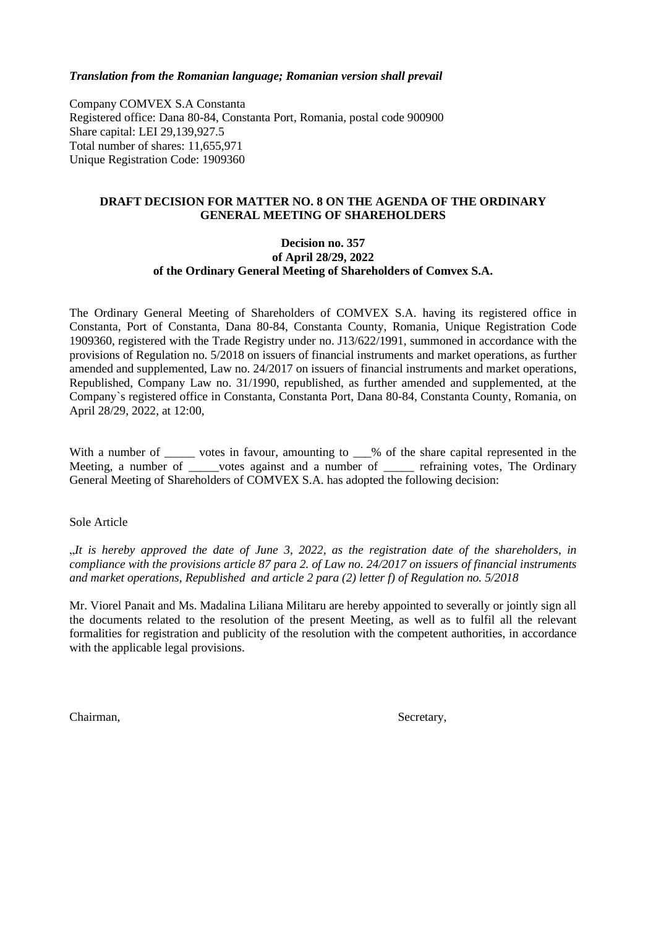Company COMVEX S.A Constanta Registered office: Dana 80-84, Constanta Port, Romania, postal code 900900 Share capital: LEI 29,139,927.5 Total number of shares: 11,655,971 Unique Registration Code: 1909360

## **DRAFT DECISION FOR MATTER NO. 8 ON THE AGENDA OF THE ORDINARY GENERAL MEETING OF SHAREHOLDERS**

## **Decision no. 357 of April 28/29, 2022 of the Ordinary General Meeting of Shareholders of Comvex S.A.**

The Ordinary General Meeting of Shareholders of COMVEX S.A. having its registered office in Constanta, Port of Constanta, Dana 80-84, Constanta County, Romania, Unique Registration Code 1909360, registered with the Trade Registry under no. J13/622/1991, summoned in accordance with the provisions of Regulation no. 5/2018 on issuers of financial instruments and market operations, as further amended and supplemented, Law no. 24/2017 on issuers of financial instruments and market operations, Republished, Company Law no. 31/1990, republished, as further amended and supplemented, at the Company`s registered office in Constanta, Constanta Port, Dana 80-84, Constanta County, Romania, on April 28/29, 2022, at 12:00,

With a number of \_\_\_\_\_\_ votes in favour, amounting to \_\_\_% of the share capital represented in the Meeting, a number of votes against and a number of refraining votes, The Ordinary General Meeting of Shareholders of COMVEX S.A. has adopted the following decision:

Sole Article

"*It is hereby approved the date of June 3, 2022, as the registration date of the shareholders, in compliance with the provisions article 87 para 2. of Law no. 24/2017 on issuers of financial instruments and market operations, Republished and article 2 para (2) letter f) of Regulation no. 5/2018*

Mr. Viorel Panait and Ms. Madalina Liliana Militaru are hereby appointed to severally or jointly sign all the documents related to the resolution of the present Meeting, as well as to fulfil all the relevant formalities for registration and publicity of the resolution with the competent authorities, in accordance with the applicable legal provisions.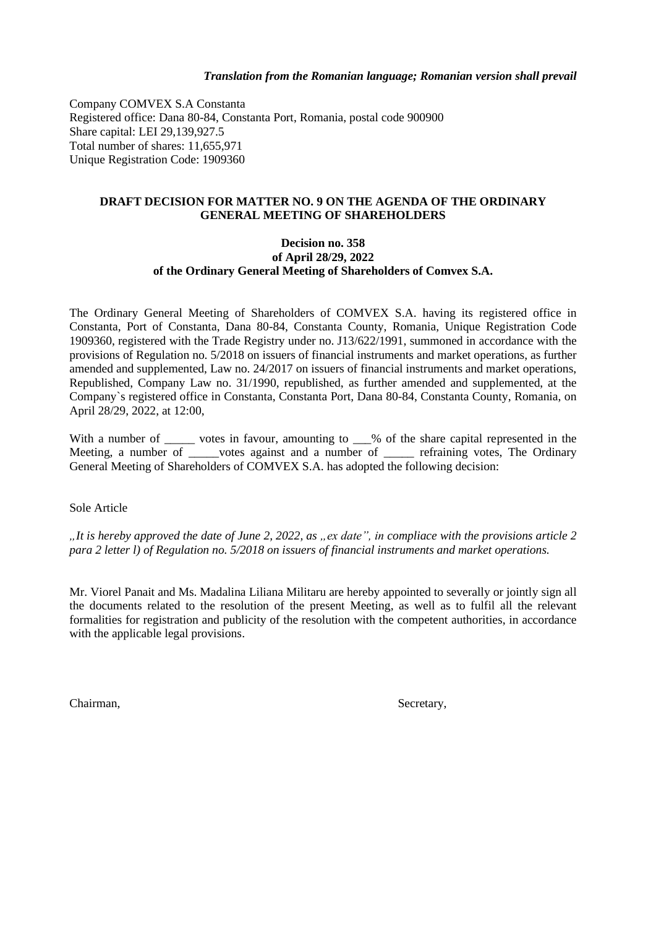Company COMVEX S.A Constanta Registered office: Dana 80-84, Constanta Port, Romania, postal code 900900 Share capital: LEI 29,139,927.5 Total number of shares: 11,655,971 Unique Registration Code: 1909360

## **DRAFT DECISION FOR MATTER NO. 9 ON THE AGENDA OF THE ORDINARY GENERAL MEETING OF SHAREHOLDERS**

## **Decision no. 358 of April 28/29, 2022 of the Ordinary General Meeting of Shareholders of Comvex S.A.**

The Ordinary General Meeting of Shareholders of COMVEX S.A. having its registered office in Constanta, Port of Constanta, Dana 80-84, Constanta County, Romania, Unique Registration Code 1909360, registered with the Trade Registry under no. J13/622/1991, summoned in accordance with the provisions of Regulation no. 5/2018 on issuers of financial instruments and market operations, as further amended and supplemented, Law no. 24/2017 on issuers of financial instruments and market operations, Republished, Company Law no. 31/1990, republished, as further amended and supplemented, at the Company`s registered office in Constanta, Constanta Port, Dana 80-84, Constanta County, Romania, on April 28/29, 2022, at 12:00,

With a number of \_\_\_\_\_ votes in favour, amounting to \_\_\_% of the share capital represented in the Meeting, a number of \_\_\_\_\_votes against and a number of \_\_\_\_\_\_ refraining votes, The Ordinary General Meeting of Shareholders of COMVEX S.A. has adopted the following decision:

Sole Article

*"It is hereby approved the date of June 2, 2022, as "ex date", in compliace with the provisions article 2 para 2 letter l) of Regulation no. 5/2018 on issuers of financial instruments and market operations.*

Mr. Viorel Panait and Ms. Madalina Liliana Militaru are hereby appointed to severally or jointly sign all the documents related to the resolution of the present Meeting, as well as to fulfil all the relevant formalities for registration and publicity of the resolution with the competent authorities, in accordance with the applicable legal provisions.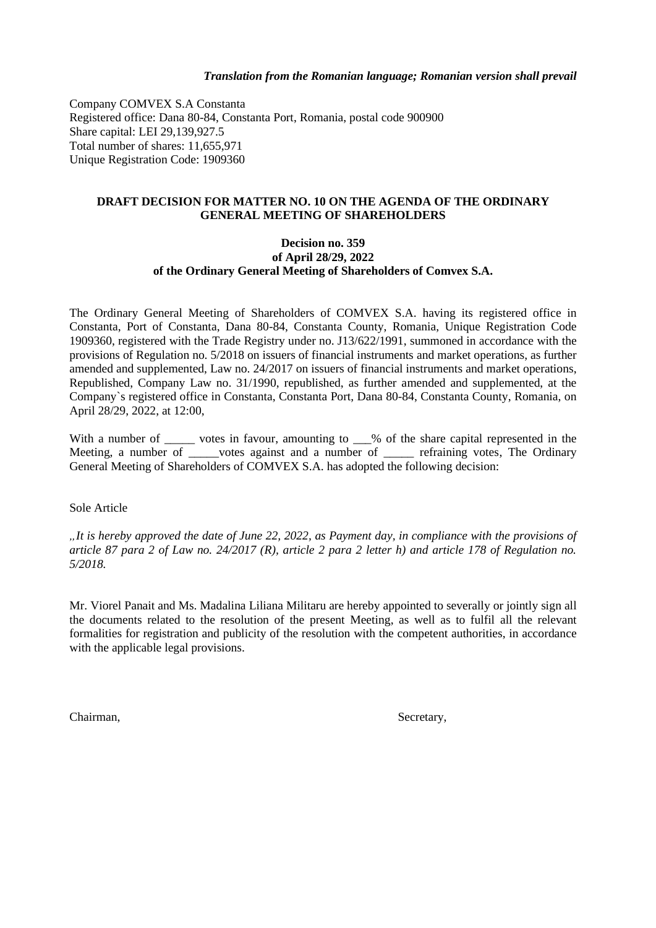Company COMVEX S.A Constanta Registered office: Dana 80-84, Constanta Port, Romania, postal code 900900 Share capital: LEI 29,139,927.5 Total number of shares: 11,655,971 Unique Registration Code: 1909360

## **DRAFT DECISION FOR MATTER NO. 10 ON THE AGENDA OF THE ORDINARY GENERAL MEETING OF SHAREHOLDERS**

## **Decision no. 359 of April 28/29, 2022 of the Ordinary General Meeting of Shareholders of Comvex S.A.**

The Ordinary General Meeting of Shareholders of COMVEX S.A. having its registered office in Constanta, Port of Constanta, Dana 80-84, Constanta County, Romania, Unique Registration Code 1909360, registered with the Trade Registry under no. J13/622/1991, summoned in accordance with the provisions of Regulation no. 5/2018 on issuers of financial instruments and market operations, as further amended and supplemented, Law no. 24/2017 on issuers of financial instruments and market operations, Republished, Company Law no. 31/1990, republished, as further amended and supplemented, at the Company`s registered office in Constanta, Constanta Port, Dana 80-84, Constanta County, Romania, on April 28/29, 2022, at 12:00,

With a number of \_\_\_\_\_ votes in favour, amounting to \_\_\_% of the share capital represented in the Meeting, a number of \_\_\_\_\_votes against and a number of \_\_\_\_\_ refraining votes, The Ordinary General Meeting of Shareholders of COMVEX S.A. has adopted the following decision:

Sole Article

*"It is hereby approved the date of June 22, 2022, as Payment day, in compliance with the provisions of article 87 para 2 of Law no. 24/2017 (R), article 2 para 2 letter h) and article 178 of Regulation no. 5/2018.*

Mr. Viorel Panait and Ms. Madalina Liliana Militaru are hereby appointed to severally or jointly sign all the documents related to the resolution of the present Meeting, as well as to fulfil all the relevant formalities for registration and publicity of the resolution with the competent authorities, in accordance with the applicable legal provisions.